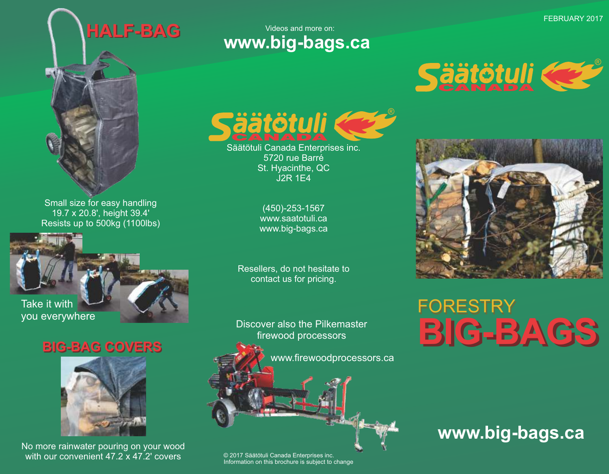# **HALF-BAG**

Videos and more on: **www.big-bags.ca**



Small size for easy handling 19.7 x 20.8', height 39.4' Resists up to 500kg (1100lbs)



### **BIG-BAG COVERS BIG-BAG COVERS**



No more rainwater pouring on your wood with our convenient 47.2 x 47.2' covers



Säätötuli Canada Enterprises inc. 5720 rue Barré St. Hyacinthe, QC J2R 1E4

> (450)-253-1567 www.saatotuli.ca www.big-bags.ca

Resellers, do not hesitate to contact us for pricing.

Discover also the Pilkemaster firewood processors

www.firewoodprocessors.ca

#### © 2017 Säätötuli Canada Enterprises inc. Information on this brochure is subject to change





## **BIG-BAGS FORESTRY**

### **www.big-bags.ca**